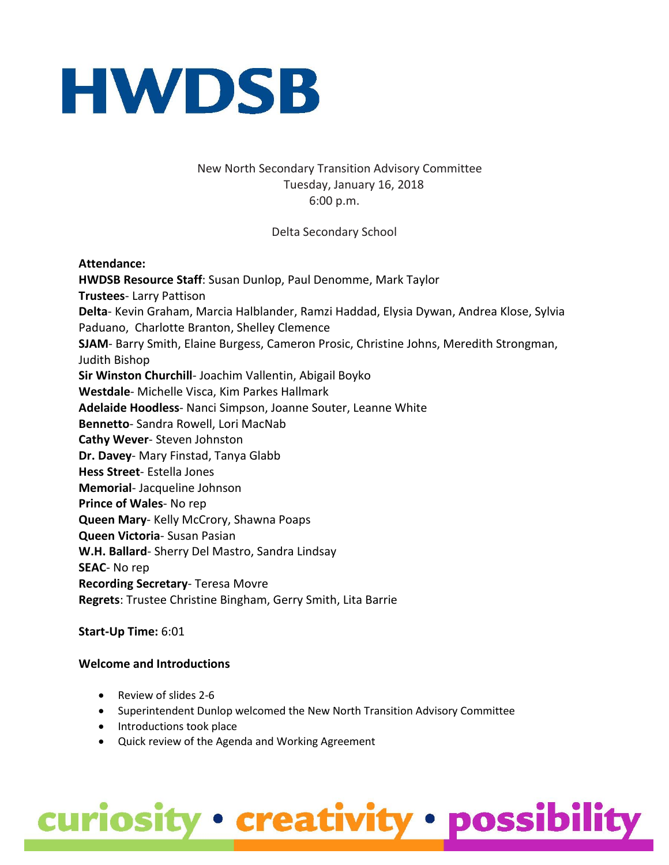

#### New North Secondary Transition Advisory Committee Tuesday, January 16, 2018 6:00 p.m.

Delta Secondary School

#### **Attendance:**

**HWDSB Resource Staff**: Susan Dunlop, Paul Denomme, Mark Taylor **Trustees**- Larry Pattison **Delta**- Kevin Graham, Marcia Halblander, Ramzi Haddad, Elysia Dywan, Andrea Klose, Sylvia Paduano, Charlotte Branton, Shelley Clemence **SJAM**- Barry Smith, Elaine Burgess, Cameron Prosic, Christine Johns, Meredith Strongman, Judith Bishop **Sir Winston Churchill**- Joachim Vallentin, Abigail Boyko **Westdale**- Michelle Visca, Kim Parkes Hallmark **Adelaide Hoodless**- Nanci Simpson, Joanne Souter, Leanne White **Bennetto**- Sandra Rowell, Lori MacNab **Cathy Wever**- Steven Johnston **Dr. Davey**- Mary Finstad, Tanya Glabb **Hess Street**- Estella Jones **Memorial**- Jacqueline Johnson **Prince of Wales**- No rep **Queen Mary**- Kelly McCrory, Shawna Poaps **Queen Victoria**- Susan Pasian **W.H. Ballard**- Sherry Del Mastro, Sandra Lindsay **SEAC**- No rep **Recording Secretary**- Teresa Movre **Regrets**: Trustee Christine Bingham, Gerry Smith, Lita Barrie

#### **Start-Up Time:** 6:01

#### **Welcome and Introductions**

- Review of slides 2-6
- Superintendent Dunlop welcomed the New North Transition Advisory Committee
- Introductions took place
- Quick review of the Agenda and Working Agreement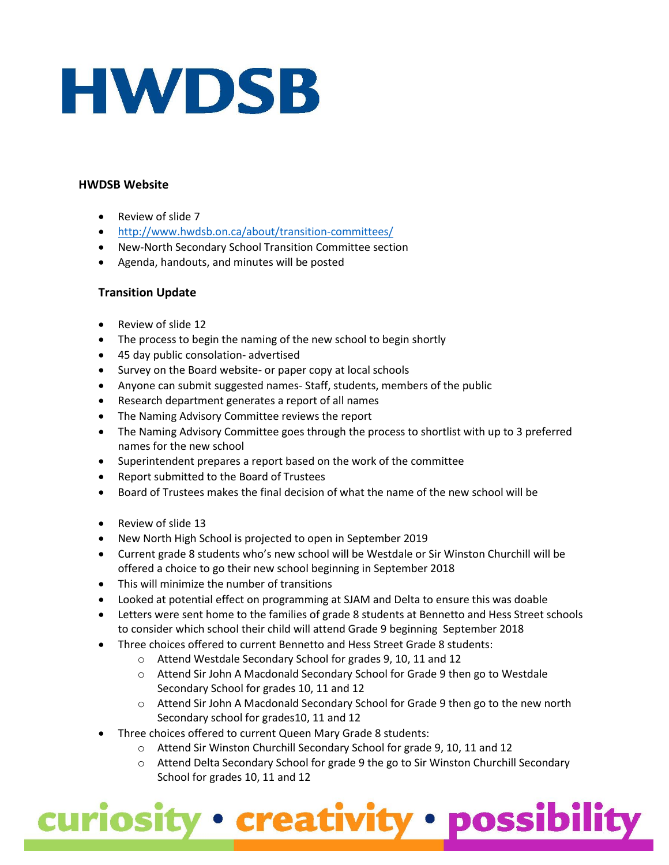#### **HWDSB Website**

- Review of slide 7
- <http://www.hwdsb.on.ca/about/transition-committees/>
- New-North Secondary School Transition Committee section
- Agenda, handouts, and minutes will be posted

#### **Transition Update**

- Review of slide 12
- The process to begin the naming of the new school to begin shortly
- 45 day public consolation- advertised
- Survey on the Board website- or paper copy at local schools
- Anyone can submit suggested names- Staff, students, members of the public
- Research department generates a report of all names
- The Naming Advisory Committee reviews the report
- The Naming Advisory Committee goes through the process to shortlist with up to 3 preferred names for the new school
- Superintendent prepares a report based on the work of the committee
- Report submitted to the Board of Trustees
- Board of Trustees makes the final decision of what the name of the new school will be
- Review of slide 13
- New North High School is projected to open in September 2019
- Current grade 8 students who's new school will be Westdale or Sir Winston Churchill will be offered a choice to go their new school beginning in September 2018
- This will minimize the number of transitions
- Looked at potential effect on programming at SJAM and Delta to ensure this was doable
- Letters were sent home to the families of grade 8 students at Bennetto and Hess Street schools to consider which school their child will attend Grade 9 beginning September 2018
- Three choices offered to current Bennetto and Hess Street Grade 8 students:
	- o Attend Westdale Secondary School for grades 9, 10, 11 and 12
	- o Attend Sir John A Macdonald Secondary School for Grade 9 then go to Westdale Secondary School for grades 10, 11 and 12
	- $\circ$  Attend Sir John A Macdonald Secondary School for Grade 9 then go to the new north Secondary school for grades10, 11 and 12
- Three choices offered to current Queen Mary Grade 8 students:
	- o Attend Sir Winston Churchill Secondary School for grade 9, 10, 11 and 12
	- o Attend Delta Secondary School for grade 9 the go to Sir Winston Churchill Secondary School for grades 10, 11 and 12

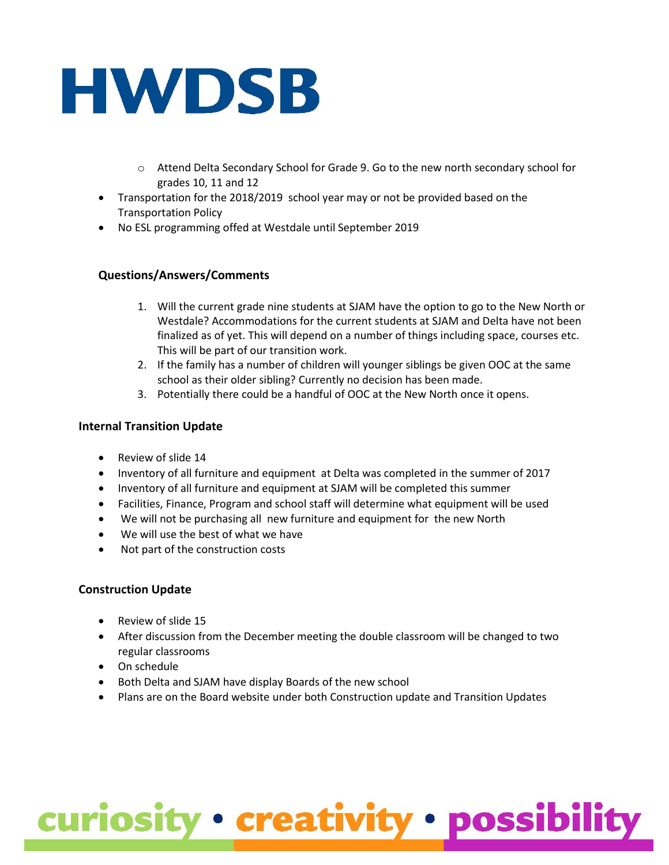- o Attend Delta Secondary School for Grade 9. Go to the new north secondary school for grades 10, 11 and 12
- Transportation for the 2018/2019 school year may or not be provided based on the Transportation Policy
- No ESL programming offed at Westdale until September 2019

#### **Questions/Answers/Comments**

- 1. Will the current grade nine students at SJAM have the option to go to the New North or Westdale? Accommodations for the current students at SJAM and Delta have not been finalized as of yet. This will depend on a number of things including space, courses etc. This will be part of our transition work.
- 2. If the family has a number of children will younger siblings be given OOC at the same school as their older sibling? Currently no decision has been made.
- 3. Potentially there could be a handful of OOC at the New North once it opens.

#### **Internal Transition Update**

- Review of slide 14
- Inventory of all furniture and equipment at Delta was completed in the summer of 2017
- Inventory of all furniture and equipment at SJAM will be completed this summer
- Facilities, Finance, Program and school staff will determine what equipment will be used
- We will not be purchasing all new furniture and equipment for the new North
- We will use the best of what we have
- Not part of the construction costs

#### **Construction Update**

- Review of slide 15
- After discussion from the December meeting the double classroom will be changed to two regular classrooms
- On schedule
- Both Delta and SJAM have display Boards of the new school
- Plans are on the Board website under both Construction update and Transition Updates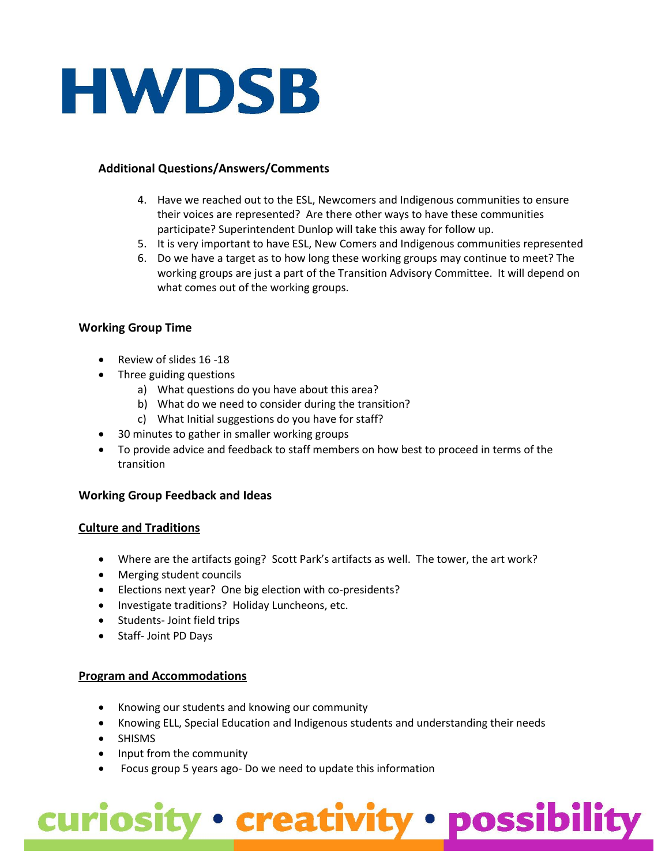#### **Additional Questions/Answers/Comments**

- 4. Have we reached out to the ESL, Newcomers and Indigenous communities to ensure their voices are represented? Are there other ways to have these communities participate? Superintendent Dunlop will take this away for follow up.
- 5. It is very important to have ESL, New Comers and Indigenous communities represented
- 6. Do we have a target as to how long these working groups may continue to meet? The working groups are just a part of the Transition Advisory Committee. It will depend on what comes out of the working groups.

#### **Working Group Time**

- Review of slides 16 -18
- Three guiding questions
	- a) What questions do you have about this area?
	- b) What do we need to consider during the transition?
	- c) What Initial suggestions do you have for staff?
- 30 minutes to gather in smaller working groups
- To provide advice and feedback to staff members on how best to proceed in terms of the transition

#### **Working Group Feedback and Ideas**

#### **Culture and Traditions**

- Where are the artifacts going? Scott Park's artifacts as well. The tower, the art work?
- Merging student councils
- Elections next year? One big election with co-presidents?
- Investigate traditions? Holiday Luncheons, etc.
- Students- Joint field trips
- Staff- Joint PD Days

#### **Program and Accommodations**

- Knowing our students and knowing our community
- Knowing ELL, Special Education and Indigenous students and understanding their needs
- SHISMS
- Input from the community
- Focus group 5 years ago- Do we need to update this information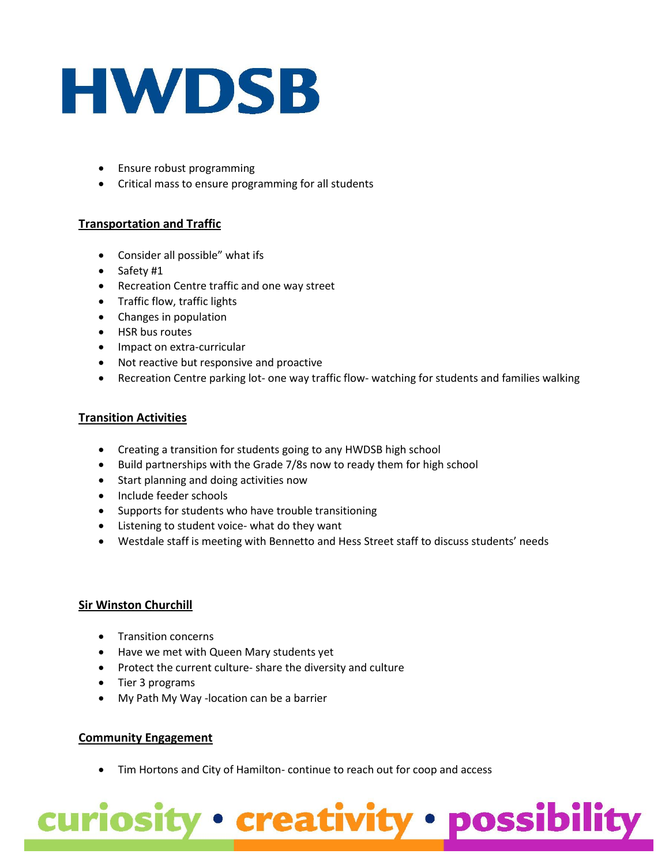- Ensure robust programming
- Critical mass to ensure programming for all students

#### **Transportation and Traffic**

- Consider all possible" what ifs
- Safety #1
- Recreation Centre traffic and one way street
- Traffic flow, traffic lights
- Changes in population
- HSR bus routes
- Impact on extra-curricular
- Not reactive but responsive and proactive
- Recreation Centre parking lot- one way traffic flow- watching for students and families walking

#### **Transition Activities**

- Creating a transition for students going to any HWDSB high school
- Build partnerships with the Grade 7/8s now to ready them for high school
- Start planning and doing activities now
- Include feeder schools
- Supports for students who have trouble transitioning
- Listening to student voice- what do they want
- Westdale staff is meeting with Bennetto and Hess Street staff to discuss students' needs

#### **Sir Winston Churchill**

- Transition concerns
- Have we met with Queen Mary students yet
- Protect the current culture- share the diversity and culture
- Tier 3 programs
- My Path My Way -location can be a barrier

#### **Community Engagement**

• Tim Hortons and City of Hamilton-continue to reach out for coop and access